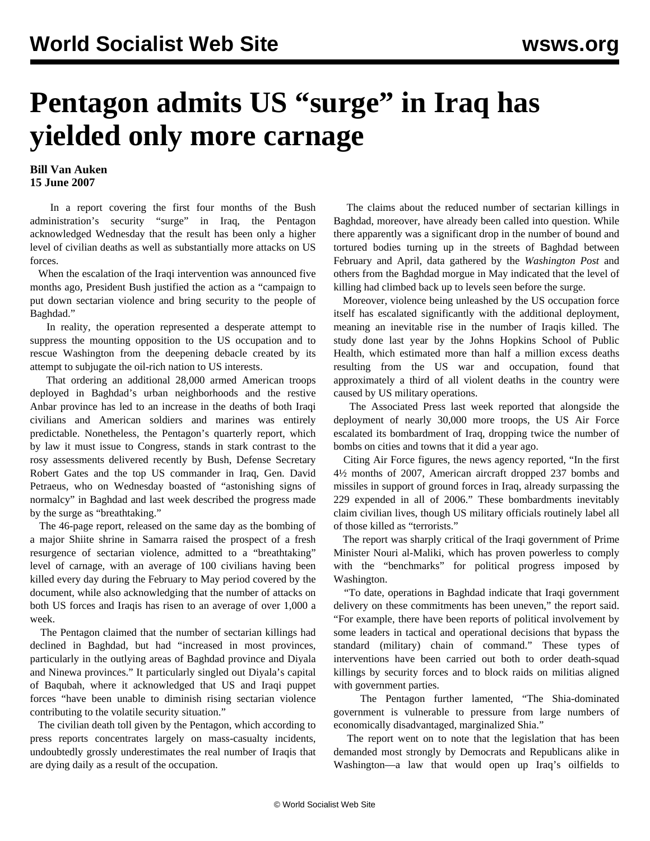## **Pentagon admits US "surge" in Iraq has yielded only more carnage**

## **Bill Van Auken 15 June 2007**

 In a report covering the first four months of the Bush administration's security "surge" in Iraq, the Pentagon acknowledged Wednesday that the result has been only a higher level of civilian deaths as well as substantially more attacks on US forces.

 When the escalation of the Iraqi intervention was announced five months ago, President Bush justified the action as a "campaign to put down sectarian violence and bring security to the people of Baghdad."

 In reality, the operation represented a desperate attempt to suppress the mounting opposition to the US occupation and to rescue Washington from the deepening debacle created by its attempt to subjugate the oil-rich nation to US interests.

 That ordering an additional 28,000 armed American troops deployed in Baghdad's urban neighborhoods and the restive Anbar province has led to an increase in the deaths of both Iraqi civilians and American soldiers and marines was entirely predictable. Nonetheless, the Pentagon's quarterly report, which by law it must issue to Congress, stands in stark contrast to the rosy assessments delivered recently by Bush, Defense Secretary Robert Gates and the top US commander in Iraq, Gen. David Petraeus, who on Wednesday boasted of "astonishing signs of normalcy" in Baghdad and last week described the progress made by the surge as "breathtaking."

 The 46-page report, released on the same day as the bombing of a major Shiite shrine in Samarra raised the prospect of a fresh resurgence of sectarian violence, admitted to a "breathtaking" level of carnage, with an average of 100 civilians having been killed every day during the February to May period covered by the document, while also acknowledging that the number of attacks on both US forces and Iraqis has risen to an average of over 1,000 a week.

 The Pentagon claimed that the number of sectarian killings had declined in Baghdad, but had "increased in most provinces, particularly in the outlying areas of Baghdad province and Diyala and Ninewa provinces." It particularly singled out Diyala's capital of Baqubah, where it acknowledged that US and Iraqi puppet forces "have been unable to diminish rising sectarian violence contributing to the volatile security situation."

 The civilian death toll given by the Pentagon, which according to press reports concentrates largely on mass-casualty incidents, undoubtedly grossly underestimates the real number of Iraqis that are dying daily as a result of the occupation.

 The claims about the reduced number of sectarian killings in Baghdad, moreover, have already been called into question. While there apparently was a significant drop in the number of bound and tortured bodies turning up in the streets of Baghdad between February and April, data gathered by the *Washington Post* and others from the Baghdad morgue in May indicated that the level of killing had climbed back up to levels seen before the surge.

 Moreover, violence being unleashed by the US occupation force itself has escalated significantly with the additional deployment, meaning an inevitable rise in the number of Iraqis killed. The study done last year by the Johns Hopkins School of Public Health, which estimated more than half a million excess deaths resulting from the US war and occupation, found that approximately a third of all violent deaths in the country were caused by US military operations.

 The Associated Press last week reported that alongside the deployment of nearly 30,000 more troops, the US Air Force escalated its bombardment of Iraq, dropping twice the number of bombs on cities and towns that it did a year ago.

 Citing Air Force figures, the news agency reported, "In the first 4½ months of 2007, American aircraft dropped 237 bombs and missiles in support of ground forces in Iraq, already surpassing the 229 expended in all of 2006." These bombardments inevitably claim civilian lives, though US military officials routinely label all of those killed as "terrorists."

 The report was sharply critical of the Iraqi government of Prime Minister Nouri al-Maliki, which has proven powerless to comply with the "benchmarks" for political progress imposed by Washington.

 "To date, operations in Baghdad indicate that Iraqi government delivery on these commitments has been uneven," the report said. "For example, there have been reports of political involvement by some leaders in tactical and operational decisions that bypass the standard (military) chain of command." These types of interventions have been carried out both to order death-squad killings by security forces and to block raids on militias aligned with government parties.

 The Pentagon further lamented, "The Shia-dominated government is vulnerable to pressure from large numbers of economically disadvantaged, marginalized Shia."

 The report went on to note that the legislation that has been demanded most strongly by Democrats and Republicans alike in Washington—a law that would open up Iraq's oilfields to